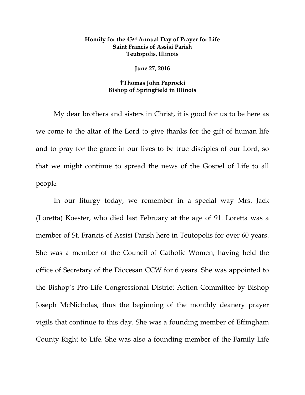## **Homily for the 43rd Annual Day of Prayer for Life Saint Francis of Assisi Parish Teutopolis, Illinois**

## **June 27, 2016**

## **Thomas John Paprocki Bishop of Springfield in Illinois**

My dear brothers and sisters in Christ, it is good for us to be here as we come to the altar of the Lord to give thanks for the gift of human life and to pray for the grace in our lives to be true disciples of our Lord, so that we might continue to spread the news of the Gospel of Life to all people.

In our liturgy today, we remember in a special way Mrs. Jack (Loretta) Koester, who died last February at the age of 91. Loretta was a member of St. Francis of Assisi Parish here in Teutopolis for over 60 years. She was a member of the Council of Catholic Women, having held the office of Secretary of the Diocesan CCW for 6 years. She was appointed to the Bishop's Pro-Life Congressional District Action Committee by Bishop Joseph McNicholas, thus the beginning of the monthly deanery prayer vigils that continue to this day. She was a founding member of Effingham County Right to Life. She was also a founding member of the Family Life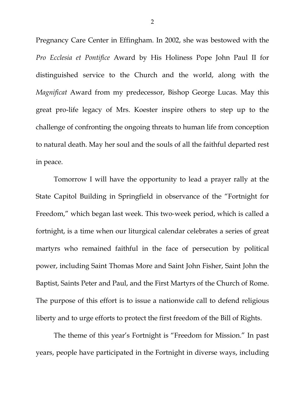Pregnancy Care Center in Effingham. In 2002, she was bestowed with the *Pro Ecclesia et Pontifice* Award by His Holiness Pope John Paul II for distinguished service to the Church and the world, along with the *Magnificat* Award from my predecessor, Bishop George Lucas. May this great pro-life legacy of Mrs. Koester inspire others to step up to the challenge of confronting the ongoing threats to human life from conception to natural death. May her soul and the souls of all the faithful departed rest in peace.

Tomorrow I will have the opportunity to lead a prayer rally at the State Capitol Building in Springfield in observance of the "Fortnight for Freedom," which began last week. This two-week period, which is called a fortnight, is a time when our liturgical calendar celebrates a series of great martyrs who remained faithful in the face of persecution by political power, including Saint Thomas More and Saint John Fisher, Saint John the Baptist, Saints Peter and Paul, and the First Martyrs of the Church of Rome. The purpose of this effort is to issue a nationwide call to defend religious liberty and to urge efforts to protect the first freedom of the Bill of Rights.

The theme of this year's Fortnight is "Freedom for Mission." In past years, people have participated in the Fortnight in diverse ways, including

2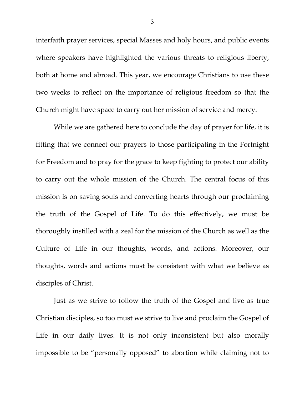interfaith prayer services, special Masses and holy hours, and public events where speakers have highlighted the various threats to religious liberty, both at home and abroad. This year, we encourage Christians to use these two weeks to reflect on the importance of religious freedom so that the Church might have space to carry out her mission of service and mercy.

While we are gathered here to conclude the day of prayer for life, it is fitting that we connect our prayers to those participating in the Fortnight for Freedom and to pray for the grace to keep fighting to protect our ability to carry out the whole mission of the Church. The central focus of this mission is on saving souls and converting hearts through our proclaiming the truth of the Gospel of Life. To do this effectively, we must be thoroughly instilled with a zeal for the mission of the Church as well as the Culture of Life in our thoughts, words, and actions. Moreover, our thoughts, words and actions must be consistent with what we believe as disciples of Christ.

Just as we strive to follow the truth of the Gospel and live as true Christian disciples, so too must we strive to live and proclaim the Gospel of Life in our daily lives. It is not only inconsistent but also morally impossible to be "personally opposed" to abortion while claiming not to

3